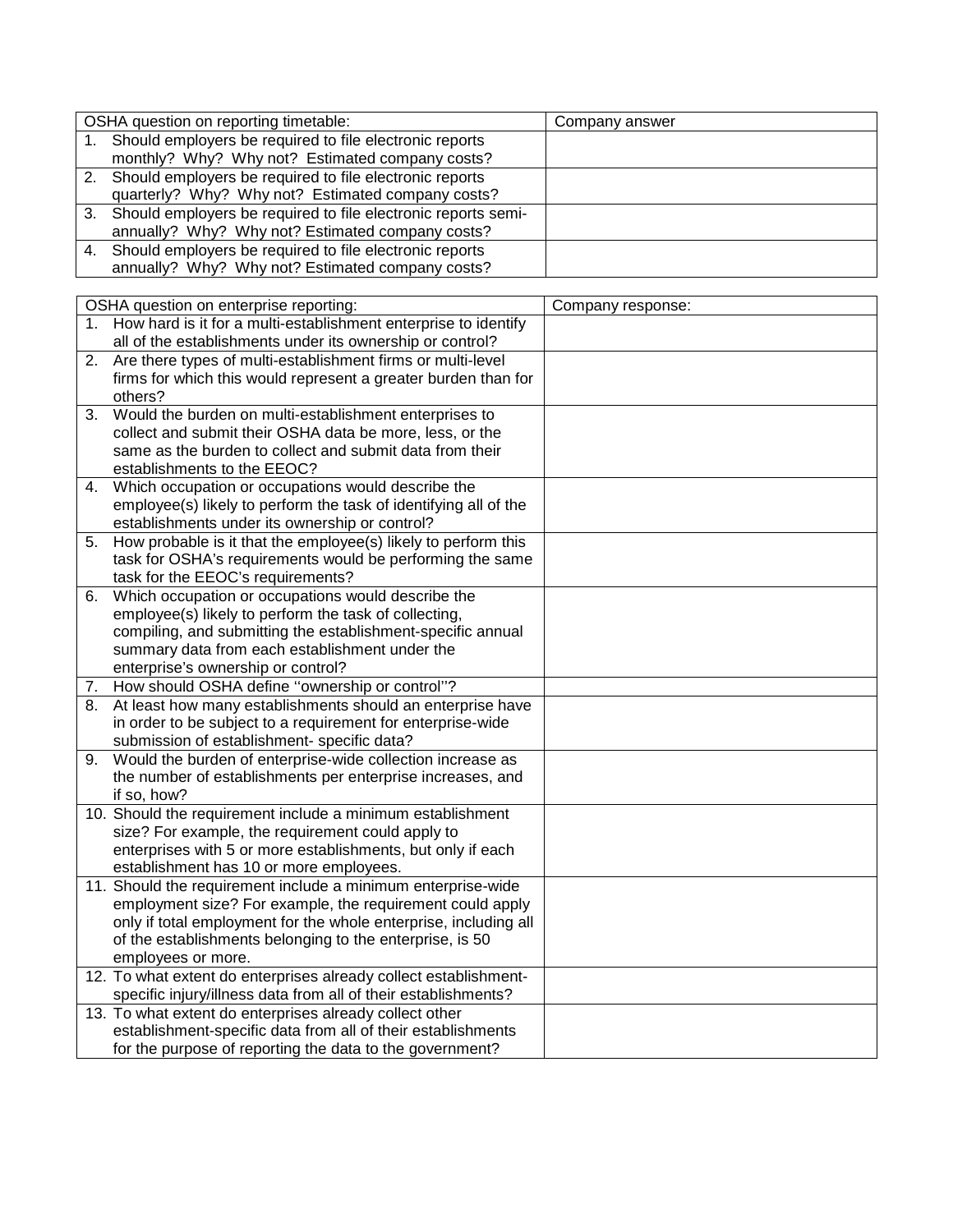| OSHA question on reporting timetable: |                                                                  | Company answer |  |  |
|---------------------------------------|------------------------------------------------------------------|----------------|--|--|
|                                       | 1. Should employers be required to file electronic reports       |                |  |  |
|                                       | monthly? Why? Why not? Estimated company costs?                  |                |  |  |
|                                       | 2. Should employers be required to file electronic reports       |                |  |  |
|                                       | quarterly? Why? Why not? Estimated company costs?                |                |  |  |
|                                       | 3. Should employers be required to file electronic reports semi- |                |  |  |
|                                       | annually? Why? Why not? Estimated company costs?                 |                |  |  |
|                                       | 4. Should employers be required to file electronic reports       |                |  |  |
|                                       | annually? Why? Why not? Estimated company costs?                 |                |  |  |

| Company response:<br>OSHA question on enterprise reporting:                                             |  |
|---------------------------------------------------------------------------------------------------------|--|
| 1. How hard is it for a multi-establishment enterprise to identify                                      |  |
| all of the establishments under its ownership or control?                                               |  |
| Are there types of multi-establishment firms or multi-level<br>2.                                       |  |
| firms for which this would represent a greater burden than for                                          |  |
| others?                                                                                                 |  |
| Would the burden on multi-establishment enterprises to<br>3.                                            |  |
| collect and submit their OSHA data be more, less, or the                                                |  |
| same as the burden to collect and submit data from their                                                |  |
| establishments to the EEOC?                                                                             |  |
| Which occupation or occupations would describe the<br>4.                                                |  |
| employee(s) likely to perform the task of identifying all of the                                        |  |
| establishments under its ownership or control?                                                          |  |
| How probable is it that the employee(s) likely to perform this<br>5.                                    |  |
| task for OSHA's requirements would be performing the same                                               |  |
| task for the EEOC's requirements?                                                                       |  |
| Which occupation or occupations would describe the<br>6.                                                |  |
| employee(s) likely to perform the task of collecting,                                                   |  |
| compiling, and submitting the establishment-specific annual                                             |  |
| summary data from each establishment under the                                                          |  |
| enterprise's ownership or control?                                                                      |  |
| How should OSHA define "ownership or control"?<br>7.                                                    |  |
| At least how many establishments should an enterprise have<br>8.                                        |  |
| in order to be subject to a requirement for enterprise-wide                                             |  |
| submission of establishment- specific data?                                                             |  |
| Would the burden of enterprise-wide collection increase as<br>9.                                        |  |
| the number of establishments per enterprise increases, and                                              |  |
| if so, how?                                                                                             |  |
| 10. Should the requirement include a minimum establishment                                              |  |
| size? For example, the requirement could apply to                                                       |  |
| enterprises with 5 or more establishments, but only if each                                             |  |
| establishment has 10 or more employees.<br>11. Should the requirement include a minimum enterprise-wide |  |
| employment size? For example, the requirement could apply                                               |  |
| only if total employment for the whole enterprise, including all                                        |  |
| of the establishments belonging to the enterprise, is 50                                                |  |
| employees or more.                                                                                      |  |
| 12. To what extent do enterprises already collect establishment-                                        |  |
| specific injury/illness data from all of their establishments?                                          |  |
| 13. To what extent do enterprises already collect other                                                 |  |
| establishment-specific data from all of their establishments                                            |  |
| for the purpose of reporting the data to the government?                                                |  |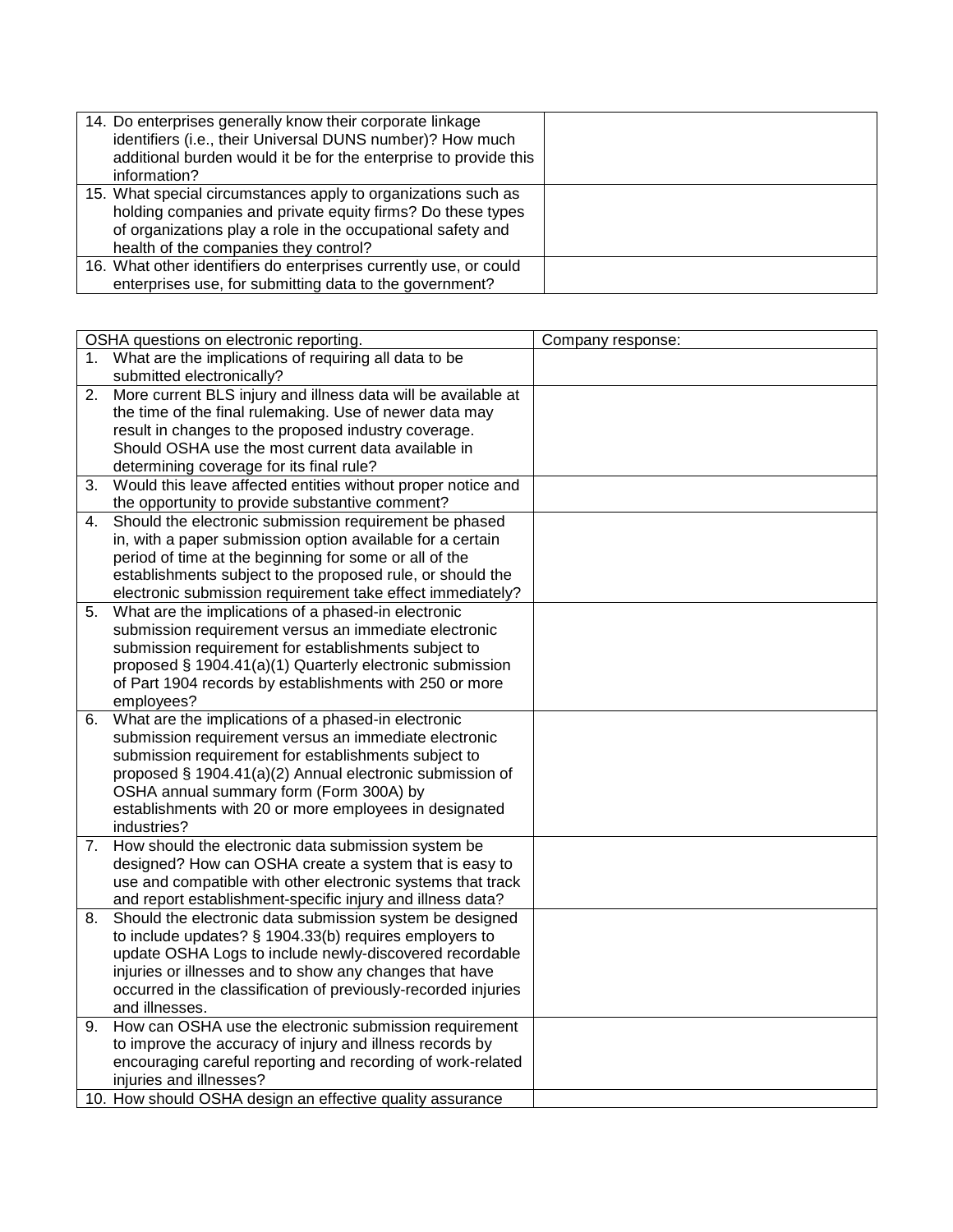| 14. Do enterprises generally know their corporate linkage<br>identifiers (i.e., their Universal DUNS number)? How much<br>additional burden would it be for the enterprise to provide this<br>information?                          |  |
|-------------------------------------------------------------------------------------------------------------------------------------------------------------------------------------------------------------------------------------|--|
| 15. What special circumstances apply to organizations such as<br>holding companies and private equity firms? Do these types<br>of organizations play a role in the occupational safety and<br>health of the companies they control? |  |
| 16. What other identifiers do enterprises currently use, or could<br>enterprises use, for submitting data to the government?                                                                                                        |  |

| OSHA questions on electronic reporting. |                                                                | Company response: |
|-----------------------------------------|----------------------------------------------------------------|-------------------|
| 1.                                      | What are the implications of requiring all data to be          |                   |
|                                         | submitted electronically?                                      |                   |
| 2.                                      | More current BLS injury and illness data will be available at  |                   |
|                                         | the time of the final rulemaking. Use of newer data may        |                   |
|                                         | result in changes to the proposed industry coverage.           |                   |
|                                         | Should OSHA use the most current data available in             |                   |
|                                         | determining coverage for its final rule?                       |                   |
| 3.                                      | Would this leave affected entities without proper notice and   |                   |
|                                         | the opportunity to provide substantive comment?                |                   |
| 4.                                      | Should the electronic submission requirement be phased         |                   |
|                                         | in, with a paper submission option available for a certain     |                   |
|                                         | period of time at the beginning for some or all of the         |                   |
|                                         | establishments subject to the proposed rule, or should the     |                   |
|                                         | electronic submission requirement take effect immediately?     |                   |
| 5.                                      | What are the implications of a phased-in electronic            |                   |
|                                         | submission requirement versus an immediate electronic          |                   |
|                                         | submission requirement for establishments subject to           |                   |
|                                         | proposed § 1904.41(a)(1) Quarterly electronic submission       |                   |
|                                         | of Part 1904 records by establishments with 250 or more        |                   |
|                                         | employees?                                                     |                   |
| 6.                                      | What are the implications of a phased-in electronic            |                   |
|                                         | submission requirement versus an immediate electronic          |                   |
|                                         | submission requirement for establishments subject to           |                   |
|                                         | proposed § 1904.41(a)(2) Annual electronic submission of       |                   |
|                                         | OSHA annual summary form (Form 300A) by                        |                   |
|                                         | establishments with 20 or more employees in designated         |                   |
|                                         | industries?                                                    |                   |
|                                         | 7. How should the electronic data submission system be         |                   |
|                                         | designed? How can OSHA create a system that is easy to         |                   |
|                                         | use and compatible with other electronic systems that track    |                   |
|                                         | and report establishment-specific injury and illness data?     |                   |
| 8.                                      | Should the electronic data submission system be designed       |                   |
|                                         | to include updates? § 1904.33(b) requires employers to         |                   |
|                                         | update OSHA Logs to include newly-discovered recordable        |                   |
|                                         | injuries or illnesses and to show any changes that have        |                   |
|                                         | occurred in the classification of previously-recorded injuries |                   |
|                                         | and illnesses.                                                 |                   |
| 9.                                      | How can OSHA use the electronic submission requirement         |                   |
|                                         | to improve the accuracy of injury and illness records by       |                   |
|                                         | encouraging careful reporting and recording of work-related    |                   |
|                                         | injuries and illnesses?                                        |                   |
|                                         | 10. How should OSHA design an effective quality assurance      |                   |